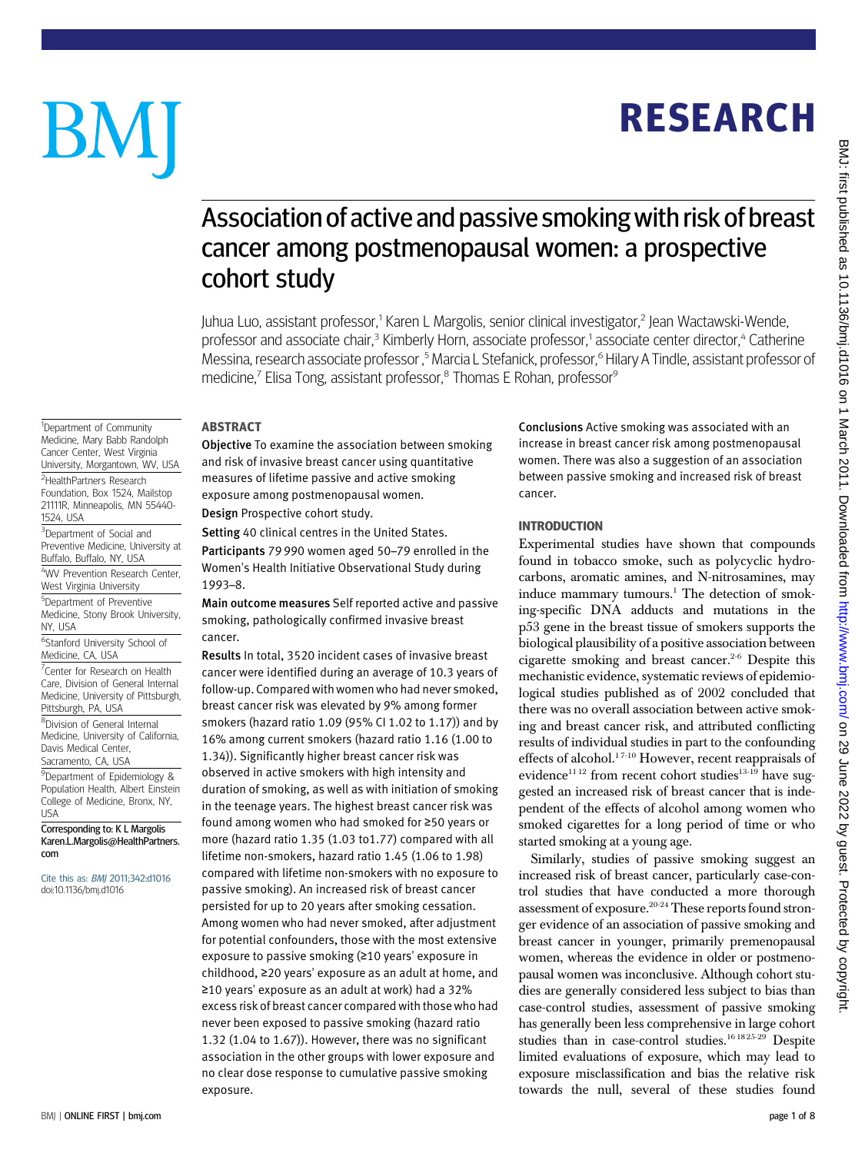## RESEARCH

# BM

<sup>1</sup>Department of Community Medicine, Mary Babb Randolph Cancer Center, West Virginia University, Morgantown, WV, USA <sup>2</sup>HealthPartners Research Foundation, Box 1524, Mailstop 21111R, Minneapolis, MN 55440-

<sup>3</sup>Department of Social and Preventive Medicine, University at Buffalo, Buffalo, NY, USA 4 WV Prevention Research Center, West Virginia University 5 Department of Preventive Medicine, Stony Brook University,

6 Stanford University School of Medicine, CA, USA

<sup>7</sup> Center for Research on Health Care, Division of General Internal Medicine, University of Pittsburgh,

Corresponding to: K L Margolis Karen.L.Margolis@HealthPartners.

Cite this as: BMJ 2011;342:d1016 doi:10.1136/bmj.d1016

Pittsburgh, PA, USA 8 Division of General Internal Medicine, University of California, Davis Medical Center, Sacramento, CA, USA 9 Department of Epidemiology & Population Health, Albert Einstein College of Medicine, Bronx, NY,

1524, USA

NY, USA

USA

com

### Association of active and passive smokingwith risk of breast cancer among postmenopausal women: a prospective cohort study

Juhua Luo, assistant professor,1 Karen L Margolis, senior clinical investigator,2 Jean Wactawski-Wende, professor and associate chair.<sup>3</sup> Kimberly Horn, associate professor,<sup>1</sup> associate center director,<sup>4</sup> Catherine Messina, research associate professor,<sup>5</sup> Marcia L Stefanick, professor,<sup>6</sup> Hilary A Tindle, assistant professor of medicine,<sup>7</sup> Elisa Tong, assistant professor,<sup>8</sup> Thomas E Rohan, professor<sup>9</sup>

#### ABSTRACT

Objective To examine the association between smoking and risk of invasive breast cancer using quantitative measures of lifetime passive and active smoking exposure among postmenopausal women.

Design Prospective cohort study.

Setting 40 clinical centres in the United States.

Participants 79 990 women aged 50–79 enrolled in the Women's Health Initiative Observational Study during 1993–8.

Main outcome measures Self reported active and passive smoking, pathologically confirmed invasive breast cancer.

Results In total, 3520 incident cases of invasive breast cancer were identified during an average of 10.3 years of follow-up. Compared with women who had never smoked, breast cancer risk was elevated by 9% among former smokers (hazard ratio 1.09 (95% CI 1.02 to 1.17)) and by 16% among current smokers (hazard ratio 1.16 (1.00 to 1.34)). Significantly higher breast cancer risk was observed in active smokers with high intensity and duration of smoking, as well as with initiation of smoking in the teenage years. The highest breast cancer risk was found among women who had smoked for ≥50 years or more (hazard ratio 1.35 (1.03 to1.77) compared with all lifetime non-smokers, hazard ratio 1.45 (1.06 to 1.98) compared with lifetime non-smokers with no exposure to passive smoking). An increased risk of breast cancer persisted for up to 20 years after smoking cessation. Among women who had never smoked, after adjustment for potential confounders, those with the most extensive exposure to passive smoking (≥10 years' exposure in childhood, ≥20 years' exposure as an adult at home, and ≥10 years' exposure as an adult at work) had a 32% excess risk of breast cancer compared with those who had never been exposed to passive smoking (hazard ratio 1.32 (1.04 to 1.67)). However, there was no significant association in the other groups with lower exposure and no clear dose response to cumulative passive smoking exposure.

Conclusions Active smoking was associated with an increase in breast cancer risk among postmenopausal women. There was also a suggestion of an association between passive smoking and increased risk of breast cancer.

#### INTRODUCTION

Experimental studies have shown that compounds found in tobacco smoke, such as polycyclic hydrocarbons, aromatic amines, and N-nitrosamines, may induce mammary tumours.<sup>1</sup> The detection of smoking-specific DNA adducts and mutations in the p53 gene in the breast tissue of smokers supports the biological plausibility of a positive association between cigarette smoking and breast cancer.2-6 Despite this mechanistic evidence, systematic reviews of epidemiological studies published as of 2002 concluded that there was no overall association between active smoking and breast cancer risk, and attributed conflicting results of individual studies in part to the confounding effects of alcohol.<sup>17-10</sup> However, recent reappraisals of evidence<sup>1112</sup> from recent cohort studies<sup>13-19</sup> have suggested an increased risk of breast cancer that is independent of the effects of alcohol among women who smoked cigarettes for a long period of time or who started smoking at a young age.

Similarly, studies of passive smoking suggest an increased risk of breast cancer, particularly case-control studies that have conducted a more thorough assessment of exposure.<sup>20-24</sup> These reports found stronger evidence of an association of passive smoking and breast cancer in younger, primarily premenopausal women, whereas the evidence in older or postmenopausal women was inconclusive. Although cohort studies are generally considered less subject to bias than case-control studies, assessment of passive smoking has generally been less comprehensive in large cohort studies than in case-control studies.<sup>16 18 25-29</sup> Despite limited evaluations of exposure, which may lead to exposure misclassification and bias the relative risk towards the null, several of these studies found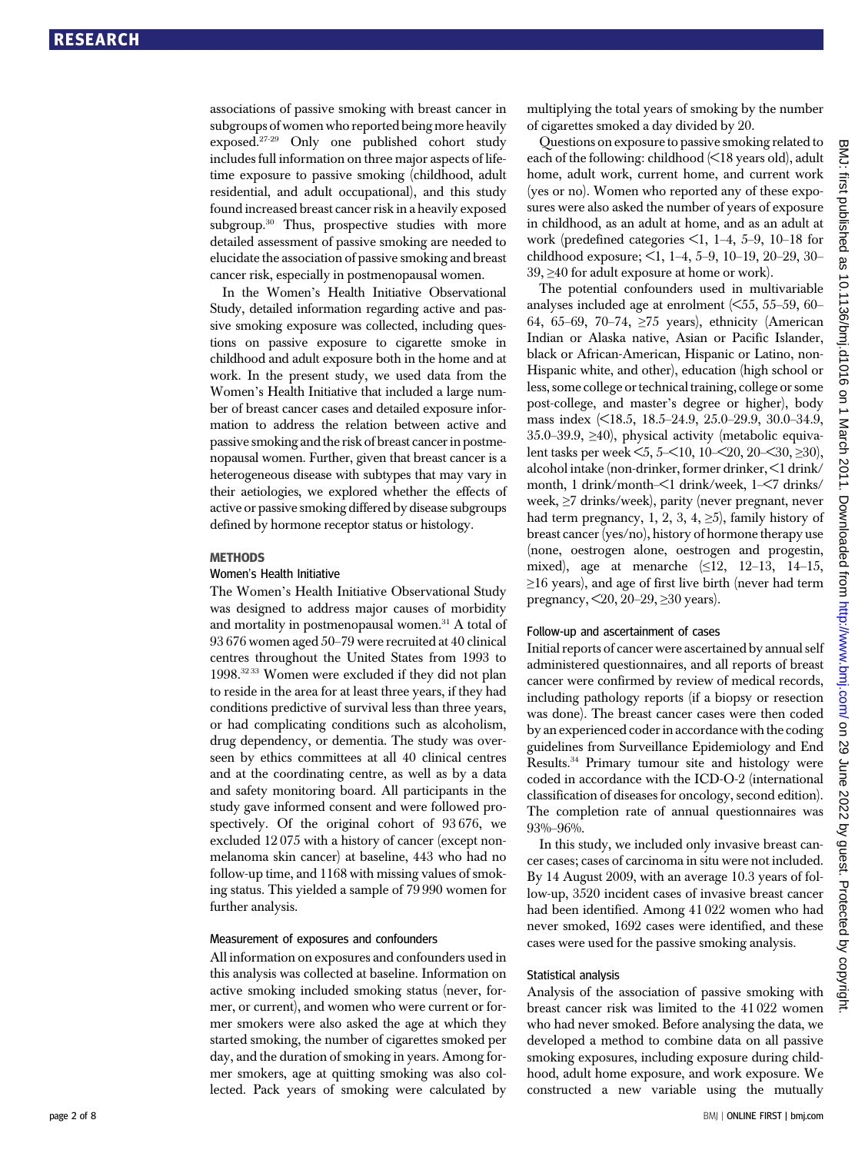associations of passive smoking with breast cancer in subgroups of women who reported being more heavily exposed.27-29 Only one published cohort study includes full information on three major aspects of lifetime exposure to passive smoking (childhood, adult residential, and adult occupational), and this study found increased breast cancer risk in a heavily exposed subgroup.<sup>30</sup> Thus, prospective studies with more detailed assessment of passive smoking are needed to elucidate the association of passive smoking and breast cancer risk, especially in postmenopausal women.

In the Women's Health Initiative Observational Study, detailed information regarding active and passive smoking exposure was collected, including questions on passive exposure to cigarette smoke in childhood and adult exposure both in the home and at work. In the present study, we used data from the Women's Health Initiative that included a large number of breast cancer cases and detailed exposure information to address the relation between active and passive smoking and the risk of breast cancer in postmenopausal women. Further, given that breast cancer is a heterogeneous disease with subtypes that may vary in their aetiologies, we explored whether the effects of active or passive smoking differed by disease subgroups defined by hormone receptor status or histology.

#### **METHODS**

#### Women's Health Initiative

The Women's Health Initiative Observational Study was designed to address major causes of morbidity and mortality in postmenopausal women. $31$  A total of 93 676 women aged 50–79 were recruited at 40 clinical centres throughout the United States from 1993 to 1998.32 33 Women were excluded if they did not plan to reside in the area for at least three years, if they had conditions predictive of survival less than three years, or had complicating conditions such as alcoholism, drug dependency, or dementia. The study was overseen by ethics committees at all 40 clinical centres and at the coordinating centre, as well as by a data and safety monitoring board. All participants in the study gave informed consent and were followed prospectively. Of the original cohort of 93 676, we excluded 12 075 with a history of cancer (except nonmelanoma skin cancer) at baseline, 443 who had no follow-up time, and 1168 with missing values of smoking status. This yielded a sample of 79 990 women for further analysis.

#### Measurement of exposures and confounders

All information on exposures and confounders used in this analysis was collected at baseline. Information on active smoking included smoking status (never, former, or current), and women who were current or former smokers were also asked the age at which they started smoking, the number of cigarettes smoked per day, and the duration of smoking in years. Among former smokers, age at quitting smoking was also collected. Pack years of smoking were calculated by multiplying the total years of smoking by the number of cigarettes smoked a day divided by 20.

Questions on exposure to passive smoking related to each of the following: childhood (<18 years old), adult home, adult work, current home, and current work (yes or no). Women who reported any of these exposures were also asked the number of years of exposure in childhood, as an adult at home, and as an adult at work (predefined categories <1, 1–4, 5–9, 10–18 for childhood exposure; <1, 1–4, 5–9, 10–19, 20–29, 30– 39, ≥40 for adult exposure at home or work).

The potential confounders used in multivariable analyses included age at enrolment  $(55, 55-59, 60-$ 64, 65–69, 70–74, ≥75 years), ethnicity (American Indian or Alaska native, Asian or Pacific Islander, black or African-American, Hispanic or Latino, non-Hispanic white, and other), education (high school or less, some college or technical training, college or some post-college, and master's degree or higher), body mass index (<18.5, 18.5–24.9, 25.0–29.9, 30.0–34.9, 35.0–39.9,  $\geq$ 40), physical activity (metabolic equivalent tasks per week <5, 5–<10, 10–<20, 20–<30, ≥30), alcohol intake (non-drinker, former drinker, <1 drink/ month, 1 drink/month–<1 drink/week, 1–<7 drinks/ week, ≥7 drinks/week), parity (never pregnant, never had term pregnancy, 1, 2, 3, 4,  $\geq$ 5), family history of breast cancer (yes/no), history of hormone therapy use (none, oestrogen alone, oestrogen and progestin, mixed), age at menarche  $(\leq 12, 12-13, 14-15,$ ≥16 years), and age of first live birth (never had term pregnancy,  $\leq 20$ ,  $20-29$ ,  $\geq 30$  years).

#### Follow-up and ascertainment of cases

Initial reports of cancer were ascertained by annual self administered questionnaires, and all reports of breast cancer were confirmed by review of medical records, including pathology reports (if a biopsy or resection was done). The breast cancer cases were then coded by an experienced coder in accordance with the coding guidelines from Surveillance Epidemiology and End Results.34 Primary tumour site and histology were coded in accordance with the ICD-O-2 (international classification of diseases for oncology, second edition). The completion rate of annual questionnaires was 93%–96%.

In this study, we included only invasive breast cancer cases; cases of carcinoma in situ were not included. By 14 August 2009, with an average 10.3 years of follow-up, 3520 incident cases of invasive breast cancer had been identified. Among 41 022 women who had never smoked, 1692 cases were identified, and these cases were used for the passive smoking analysis.

#### Statistical analysis

Analysis of the association of passive smoking with breast cancer risk was limited to the 41 022 women who had never smoked. Before analysing the data, we developed a method to combine data on all passive smoking exposures, including exposure during childhood, adult home exposure, and work exposure. We constructed a new variable using the mutually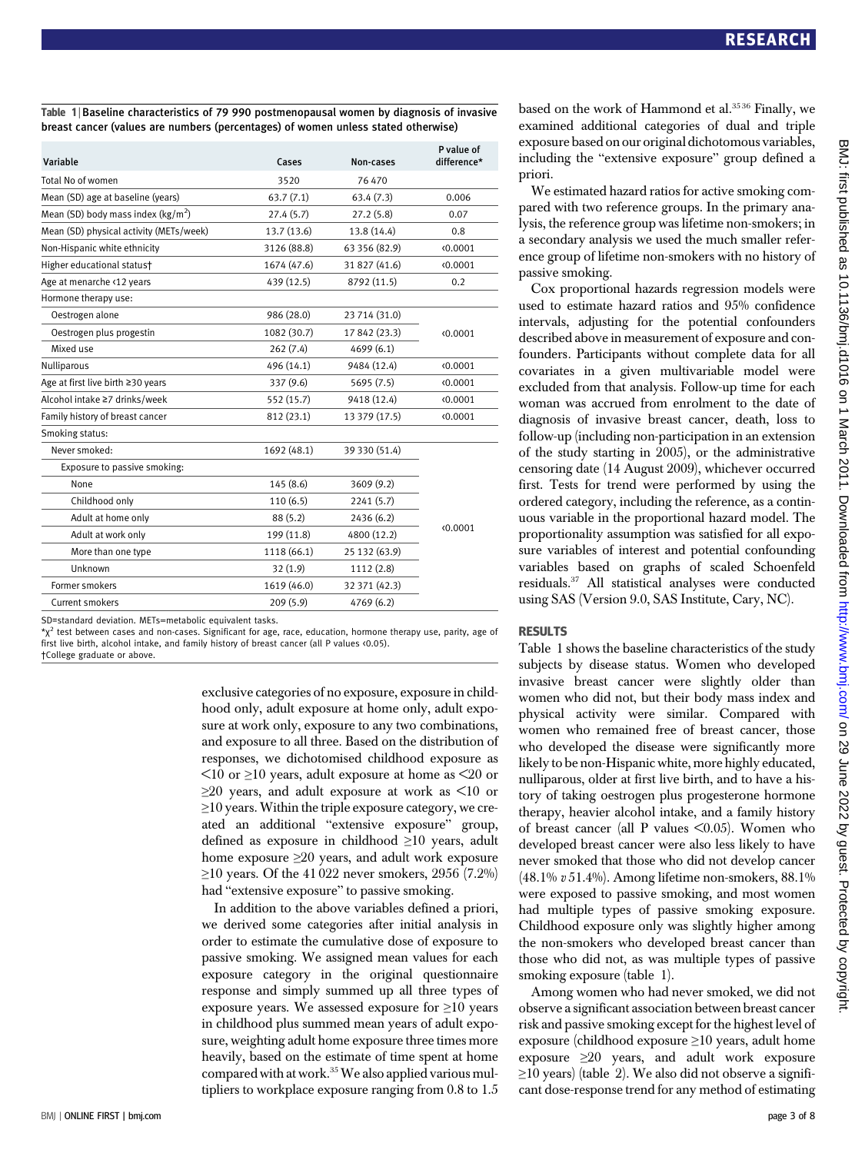Table 1 | Baseline characteristics of 79 990 postmenopausal women by diagnosis of invasive breast cancer (values are numbers (percentages) of women unless stated otherwise)

| Variable                                      | Cases<br>Non-cases |               |          |  |
|-----------------------------------------------|--------------------|---------------|----------|--|
| Total No of women                             | 3520               | 76 470        |          |  |
| Mean (SD) age at baseline (years)             | 63.7(7.1)          | 63.4(7.3)     | 0.006    |  |
| Mean (SD) body mass index ( $\text{kg/m}^2$ ) | 27.4(5.7)          | 27.2(5.8)     | 0.07     |  |
| Mean (SD) physical activity (METs/week)       | 13.7 (13.6)        | 13.8 (14.4)   | 0.8      |  |
| Non-Hispanic white ethnicity                  | 3126 (88.8)        | 63 356 (82.9) | (0.0001) |  |
| Higher educational statust                    | 1674 (47.6)        | 31 827 (41.6) | (0.0001) |  |
| Age at menarche <12 years                     | 439 (12.5)         | 8792 (11.5)   | 0.2      |  |
| Hormone therapy use:                          |                    |               |          |  |
| Oestrogen alone                               | 986 (28.0)         | 23 714 (31.0) |          |  |
| Oestrogen plus progestin                      | 1082 (30.7)        | 17 842 (23.3) | (0.0001) |  |
| Mixed use                                     | 262(7.4)           | 4699 (6.1)    |          |  |
| Nulliparous                                   | 496 (14.1)         | 9484 (12.4)   | (0.0001) |  |
| Age at first live birth ≥30 years             | 337 (9.6)          | 5695 (7.5)    | (0.0001) |  |
| Alcohol intake ≥7 drinks/week                 | 552 (15.7)         | 9418 (12.4)   | (0.0001) |  |
| Family history of breast cancer               | 812 (23.1)         | 13 379 (17.5) | (0.0001) |  |
| Smoking status:                               |                    |               |          |  |
| Never smoked:                                 | 1692 (48.1)        | 39 330 (51.4) |          |  |
| Exposure to passive smoking:                  |                    |               |          |  |
| None                                          | 145(8.6)           | 3609(9.2)     |          |  |
| Childhood only                                | 110(6.5)           | 2241(5.7)     |          |  |
| Adult at home only                            | 88 (5.2)           | 2436 (6.2)    |          |  |
| Adult at work only                            | 199 (11.8)         | 4800 (12.2)   | (0.0001) |  |
| More than one type                            | 1118 (66.1)        | 25 132 (63.9) |          |  |
| Unknown                                       | 32(1.9)            | 1112 (2.8)    |          |  |
| Former smokers                                | 1619 (46.0)        | 32 371 (42.3) |          |  |
| Current smokers                               | 209(5.9)           | 4769 (6.2)    |          |  |
|                                               |                    |               |          |  |

SD=standard deviation. METs=metabolic equivalent tasks.

 $*\chi^2$  test between cases and non-cases. Significant for age, race, education, hormone therapy use, parity, age of first live birth, alcohol intake, and family history of breast cancer (all P values <0.05). †College graduate or above.

> exclusive categories of no exposure, exposure in childhood only, adult exposure at home only, adult exposure at work only, exposure to any two combinations, and exposure to all three. Based on the distribution of responses, we dichotomised childhood exposure as  $\leq$ 10 or  $\geq$ 10 years, adult exposure at home as  $\leq$ 20 or ≥20 years, and adult exposure at work as <10 or ≥10 years. Within the triple exposure category, we created an additional "extensive exposure" group, defined as exposure in childhood ≥10 years, adult home exposure ≥20 years, and adult work exposure  $≥10$  years. Of the 41 022 never smokers, 2956 (7.2%) had "extensive exposure" to passive smoking.

In addition to the above variables defined a priori, we derived some categories after initial analysis in order to estimate the cumulative dose of exposure to passive smoking. We assigned mean values for each exposure category in the original questionnaire response and simply summed up all three types of exposure years. We assessed exposure for  $\geq$ 10 years in childhood plus summed mean years of adult exposure, weighting adult home exposure three times more heavily, based on the estimate of time spent at home compared with at work.<sup>35</sup> We also applied various multipliers to workplace exposure ranging from 0.8 to 1.5 based on the work of Hammond et al.<sup>3536</sup> Finally, we examined additional categories of dual and triple exposure based on our original dichotomous variables, including the "extensive exposure" group defined a priori.

We estimated hazard ratios for active smoking compared with two reference groups. In the primary analysis, the reference group was lifetime non-smokers; in a secondary analysis we used the much smaller reference group of lifetime non-smokers with no history of passive smoking.

Cox proportional hazards regression models were used to estimate hazard ratios and 95% confidence intervals, adjusting for the potential confounders described above in measurement of exposure and confounders. Participants without complete data for all covariates in a given multivariable model were excluded from that analysis. Follow-up time for each woman was accrued from enrolment to the date of diagnosis of invasive breast cancer, death, loss to follow-up (including non-participation in an extension of the study starting in 2005), or the administrative censoring date (14 August 2009), whichever occurred first. Tests for trend were performed by using the ordered category, including the reference, as a continuous variable in the proportional hazard model. The proportionality assumption was satisfied for all exposure variables of interest and potential confounding variables based on graphs of scaled Schoenfeld residuals.37 All statistical analyses were conducted using SAS (Version 9.0, SAS Institute, Cary, NC).

#### RESULTS

Table 1 shows the baseline characteristics of the study subjects by disease status. Women who developed invasive breast cancer were slightly older than women who did not, but their body mass index and physical activity were similar. Compared with women who remained free of breast cancer, those who developed the disease were significantly more likely to be non-Hispanic white, more highly educated, nulliparous, older at first live birth, and to have a history of taking oestrogen plus progesterone hormone therapy, heavier alcohol intake, and a family history of breast cancer (all P values <0.05). Women who developed breast cancer were also less likely to have never smoked that those who did not develop cancer (48.1% v 51.4%). Among lifetime non-smokers, 88.1% were exposed to passive smoking, and most women had multiple types of passive smoking exposure. Childhood exposure only was slightly higher among the non-smokers who developed breast cancer than those who did not, as was multiple types of passive smoking exposure (table 1).

Among women who had never smoked, we did not observe a significant association between breast cancer risk and passive smoking except for the highest level of exposure (childhood exposure ≥10 years, adult home exposure  $\geq 20$  years, and adult work exposure  $\geq$ 10 years) (table 2). We also did not observe a significant dose-response trend for any method of estimating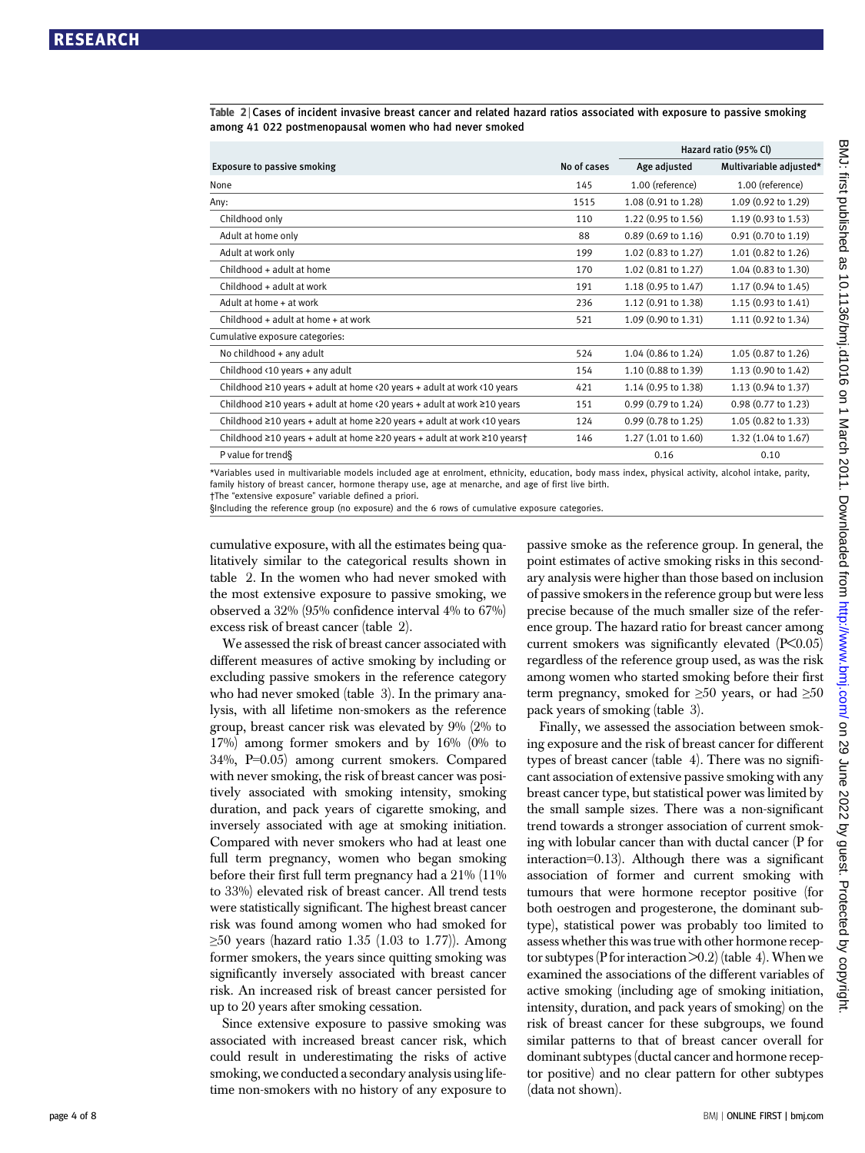|                                                                                     |             | Hazard ratio (95% Cl)         |                               |  |
|-------------------------------------------------------------------------------------|-------------|-------------------------------|-------------------------------|--|
| <b>Exposure to passive smoking</b>                                                  | No of cases | Age adjusted                  | Multivariable adjusted*       |  |
| None                                                                                | 145         | 1.00 (reference)              | 1.00 (reference)              |  |
| Any:                                                                                | 1515        | 1.08 (0.91 to 1.28)           | 1.09 (0.92 to 1.29)           |  |
| Childhood only                                                                      | 110         | 1.22 (0.95 to 1.56)           | 1.19 (0.93 to 1.53)           |  |
| Adult at home only                                                                  | 88          | 0.89 (0.69 to 1.16)           | $0.91(0.70 \text{ to } 1.19)$ |  |
| Adult at work only                                                                  | 199         | 1.02 (0.83 to 1.27)           | 1.01 (0.82 to 1.26)           |  |
| Childhood + adult at home                                                           | 170         | 1.02 (0.81 to 1.27)           | 1.04 (0.83 to 1.30)           |  |
| Childhood + adult at work                                                           | 191         | 1.18 (0.95 to 1.47)           | 1.17 (0.94 to 1.45)           |  |
| Adult at home + at work                                                             | 236         | 1.12 (0.91 to 1.38)           | 1.15 (0.93 to 1.41)           |  |
| Childhood + adult at home + at work                                                 | 521         | 1.09 (0.90 to 1.31)           | 1.11 (0.92 to 1.34)           |  |
| Cumulative exposure categories:                                                     |             |                               |                               |  |
| No childhood + any adult                                                            | 524         | 1.04 (0.86 to 1.24)           | 1.05 (0.87 to 1.26)           |  |
| Childhood <10 years + any adult                                                     | 154         | 1.10 (0.88 to 1.39)           | 1.13 (0.90 to 1.42)           |  |
| Childhood $\geq$ 10 years + adult at home <20 years + adult at work <10 years       | 421         | 1.14 (0.95 to 1.38)           | 1.13 (0.94 to 1.37)           |  |
| Childhood ≥10 years + adult at home <20 years + adult at work ≥10 years             | 151         | $0.99(0.79 \text{ to } 1.24)$ | 0.98 (0.77 to 1.23)           |  |
| Childhood $\geq$ 10 years + adult at home $\geq$ 20 years + adult at work <10 years | 124         | $0.99(0.78 \text{ to } 1.25)$ | 1.05 (0.82 to 1.33)           |  |
| Childhood ≥10 years + adult at home ≥20 years + adult at work ≥10 years†            | 146         | 1.27(1.01 to 1.60)            | 1.32 (1.04 to 1.67)           |  |
| P value for trend§                                                                  |             | 0.16                          | 0.10                          |  |

Table 2 <sup>|</sup> Cases of incident invasive breast cancer and related hazard ratios associated with exposure to passive smoking among 41 022 postmenopausal women who had never smoked

\*Variables used in multivariable models included age at enrolment, ethnicity, education, body mass index, physical activity, alcohol intake, parity, family history of breast cancer, hormone therapy use, age at menarche, and age of first live birth. †The "extensive exposure" variable defined a priori.

§Including the reference group (no exposure) and the 6 rows of cumulative exposure categories.

cumulative exposure, with all the estimates being qualitatively similar to the categorical results shown in table 2. In the women who had never smoked with the most extensive exposure to passive smoking, we observed a 32% (95% confidence interval 4% to 67%) excess risk of breast cancer (table 2).

We assessed the risk of breast cancer associated with different measures of active smoking by including or excluding passive smokers in the reference category who had never smoked (table 3). In the primary analysis, with all lifetime non-smokers as the reference group, breast cancer risk was elevated by 9% (2% to 17%) among former smokers and by 16% (0% to 34%, P=0.05) among current smokers. Compared with never smoking, the risk of breast cancer was positively associated with smoking intensity, smoking duration, and pack years of cigarette smoking, and inversely associated with age at smoking initiation. Compared with never smokers who had at least one full term pregnancy, women who began smoking before their first full term pregnancy had a 21% (11% to 33%) elevated risk of breast cancer. All trend tests were statistically significant. The highest breast cancer risk was found among women who had smoked for  $\geq$ 50 years (hazard ratio 1.35 (1.03 to 1.77)). Among former smokers, the years since quitting smoking was significantly inversely associated with breast cancer risk. An increased risk of breast cancer persisted for up to 20 years after smoking cessation.

Since extensive exposure to passive smoking was associated with increased breast cancer risk, which could result in underestimating the risks of active smoking, we conducted a secondary analysis using lifetime non-smokers with no history of any exposure to

passive smoke as the reference group. In general, the point estimates of active smoking risks in this secondary analysis were higher than those based on inclusion of passive smokers in the reference group but were less precise because of the much smaller size of the reference group. The hazard ratio for breast cancer among current smokers was significantly elevated (P<0.05) regardless of the reference group used, as was the risk among women who started smoking before their first term pregnancy, smoked for  $\geq 50$  years, or had  $\geq 50$ pack years of smoking (table 3).

Finally, we assessed the association between smoking exposure and the risk of breast cancer for different types of breast cancer (table 4). There was no significant association of extensive passive smoking with any breast cancer type, but statistical power was limited by the small sample sizes. There was a non-significant trend towards a stronger association of current smoking with lobular cancer than with ductal cancer (P for interaction=0.13). Although there was a significant association of former and current smoking with tumours that were hormone receptor positive (for both oestrogen and progesterone, the dominant subtype), statistical power was probably too limited to assess whether this was true with other hormone receptor subtypes (P for interaction  $>0.2$ ) (table 4). When we examined the associations of the different variables of active smoking (including age of smoking initiation, intensity, duration, and pack years of smoking) on the risk of breast cancer for these subgroups, we found similar patterns to that of breast cancer overall for dominant subtypes (ductal cancer and hormone receptor positive) and no clear pattern for other subtypes (data not shown).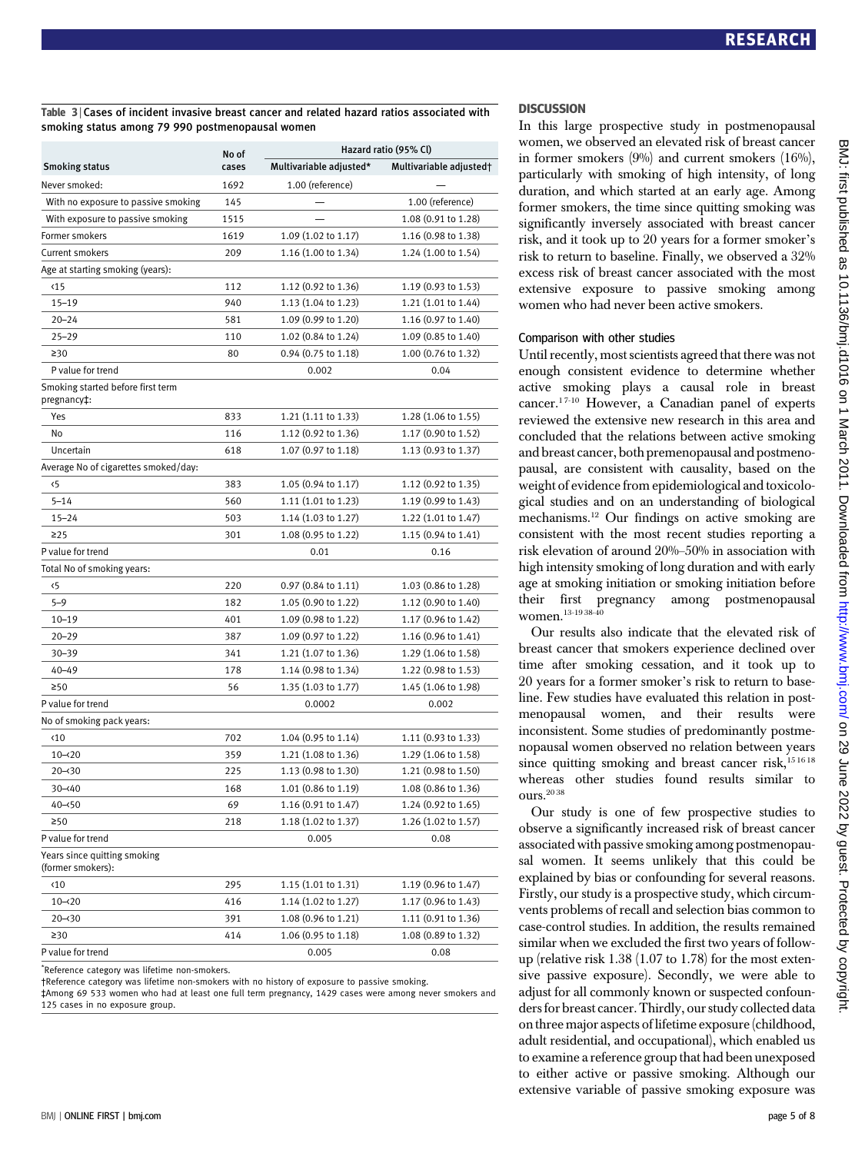Table 3 <sup>|</sup> Cases of incident invasive breast cancer and related hazard ratios associated with smoking status among 79 990 postmenopausal women

|                                                   | No of | Hazard ratio (95% Cl)         |                               |  |  |  |
|---------------------------------------------------|-------|-------------------------------|-------------------------------|--|--|--|
| <b>Smoking status</b>                             | cases | Multivariable adjusted*       | Multivariable adjusted†       |  |  |  |
| Never smoked:                                     | 1692  | 1.00 (reference)              |                               |  |  |  |
| With no exposure to passive smoking               | 145   |                               | 1.00 (reference)              |  |  |  |
| With exposure to passive smoking                  | 1515  |                               | 1.08 (0.91 to 1.28)           |  |  |  |
| Former smokers                                    | 1619  | 1.09 (1.02 to 1.17)           | 1.16 (0.98 to 1.38)           |  |  |  |
| Current smokers                                   | 209   | 1.16 (1.00 to 1.34)           | 1.24 (1.00 to 1.54)           |  |  |  |
| Age at starting smoking (years):                  |       |                               |                               |  |  |  |
| $\langle 15$                                      | 112   | 1.12 (0.92 to 1.36)           | 1.19 (0.93 to 1.53)           |  |  |  |
| $15 - 19$                                         | 940   | 1.13 (1.04 to 1.23)           | 1.21 (1.01 to 1.44)           |  |  |  |
| $20 - 24$                                         | 581   | 1.09 (0.99 to 1.20)           | 1.16 (0.97 to 1.40)           |  |  |  |
| $25 - 29$                                         | 110   | 1.02 (0.84 to 1.24)           | 1.09 (0.85 to 1.40)           |  |  |  |
| $\geq 30$                                         | 80    | $0.94(0.75 \text{ to } 1.18)$ | 1.00 (0.76 to 1.32)           |  |  |  |
| P value for trend                                 |       | 0.002                         | 0.04                          |  |  |  |
| Smoking started before first term<br>pregnancy‡:  |       |                               |                               |  |  |  |
| Yes                                               | 833   | 1.21 (1.11 to 1.33)           | 1.28 (1.06 to 1.55)           |  |  |  |
| No                                                | 116   | 1.12 (0.92 to 1.36)           | 1.17 (0.90 to 1.52)           |  |  |  |
| Uncertain                                         | 618   | 1.07 (0.97 to 1.18)           | 1.13 (0.93 to 1.37)           |  |  |  |
| Average No of cigarettes smoked/day:              |       |                               |                               |  |  |  |
| $\langle 5$                                       | 383   | 1.05 (0.94 to 1.17)           | 1.12 (0.92 to 1.35)           |  |  |  |
| $5 - 14$                                          | 560   | 1.11 (1.01 to 1.23)           | 1.19 (0.99 to 1.43)           |  |  |  |
| $15 - 24$                                         | 503   | 1.14 (1.03 to 1.27)           | 1.22 (1.01 to 1.47)           |  |  |  |
| $\geq$ 25                                         | 301   | 1.08 (0.95 to 1.22)           | 1.15 (0.94 to 1.41)           |  |  |  |
| P value for trend                                 |       | 0.01                          | 0.16                          |  |  |  |
| Total No of smoking years:                        |       |                               |                               |  |  |  |
| ‹5                                                | 220   | $0.97(0.84 \text{ to } 1.11)$ | 1.03 (0.86 to 1.28)           |  |  |  |
| $5 - 9$                                           | 182   | 1.05 (0.90 to 1.22)           | $1.12(0.90 \text{ to } 1.40)$ |  |  |  |
| $10 - 19$                                         | 401   | 1.09 (0.98 to 1.22)           | 1.17 (0.96 to 1.42)           |  |  |  |
| $20 - 29$                                         | 387   | 1.09 (0.97 to 1.22)           | 1.16 (0.96 to 1.41)           |  |  |  |
| $30 - 39$                                         | 341   | 1.21 (1.07 to 1.36)           | 1.29 (1.06 to 1.58)           |  |  |  |
| $40 - 49$                                         | 178   | 1.14 (0.98 to 1.34)           | 1.22 (0.98 to 1.53)           |  |  |  |
| ≥50                                               | 56    | 1.35 (1.03 to 1.77)           | 1.45 (1.06 to 1.98)           |  |  |  |
| P value for trend                                 |       | 0.0002                        | 0.002                         |  |  |  |
| No of smoking pack years:                         |       |                               |                               |  |  |  |
| $\langle 10$                                      | 702   | 1.04 (0.95 to 1.14)           | $1.11(0.93 \text{ to } 1.33)$ |  |  |  |
| $10 - 20$                                         | 359   | 1.21 (1.08 to 1.36)           | 1.29 (1.06 to 1.58)           |  |  |  |
| $20 - 30$                                         | 225   | 1.13 (0.98 to 1.30)           | 1.21 (0.98 to 1.50)           |  |  |  |
| 30–≺40                                            | 168   | 1.01 (0.86 to 1.19)           | 1.08 (0.86 to 1.36)           |  |  |  |
| $40 - 50$                                         | 69    | 1.16 (0.91 to 1.47)           | 1.24 (0.92 to 1.65)           |  |  |  |
| $\geq 50$                                         | 218   | 1.18 (1.02 to 1.37)           | 1.26 (1.02 to 1.57)           |  |  |  |
| P value for trend                                 |       | 0.005                         | 0.08                          |  |  |  |
| Years since quitting smoking<br>(former smokers): |       |                               |                               |  |  |  |
| $\langle 10$                                      | 295   | 1.15 (1.01 to 1.31)           | 1.19 (0.96 to 1.47)           |  |  |  |
| $10 - 20$                                         | 416   | 1.14 (1.02 to 1.27)           | 1.17 (0.96 to 1.43)           |  |  |  |
| $20 - 30$                                         | 391   | 1.08 (0.96 to 1.21)           | 1.11 (0.91 to 1.36)           |  |  |  |
| 230                                               | 414   | 1.06 (0.95 to 1.18)           | 1.08 (0.89 to 1.32)           |  |  |  |
| P value for trend                                 |       | 0.005                         | 0.08                          |  |  |  |

\* Reference category was lifetime non-smokers.

†Reference category was lifetime non-smokers with no history of exposure to passive smoking.

‡Among 69 533 women who had at least one full term pregnancy, 1429 cases were among never smokers and 125 cases in no exposure group.

#### **DISCUSSION**

In this large prospective study in postmenopausal women, we observed an elevated risk of breast cancer in former smokers (9%) and current smokers (16%), particularly with smoking of high intensity, of long duration, and which started at an early age. Among former smokers, the time since quitting smoking was significantly inversely associated with breast cancer risk, and it took up to 20 years for a former smoker's risk to return to baseline. Finally, we observed a 32% excess risk of breast cancer associated with the most extensive exposure to passive smoking among women who had never been active smokers.

#### Comparison with other studies

Until recently, most scientists agreed that there was not enough consistent evidence to determine whether active smoking plays a causal role in breast cancer.<sup>17-10</sup> However, a Canadian panel of experts reviewed the extensive new research in this area and concluded that the relations between active smoking and breast cancer, both premenopausal and postmenopausal, are consistent with causality, based on the weight of evidence from epidemiological and toxicological studies and on an understanding of biological mechanisms.12 Our findings on active smoking are consistent with the most recent studies reporting a risk elevation of around 20%–50% in association with high intensity smoking of long duration and with early age at smoking initiation or smoking initiation before their first pregnancy among postmenopausal women. $^{13\text{-}19\,38\text{-}40}$ 

Our results also indicate that the elevated risk of breast cancer that smokers experience declined over time after smoking cessation, and it took up to 20 years for a former smoker's risk to return to baseline. Few studies have evaluated this relation in postmenopausal women, and their results were inconsistent. Some studies of predominantly postmenopausal women observed no relation between years since quitting smoking and breast cancer risk,<sup>151618</sup> whereas other studies found results similar to ours.20 38

Our study is one of few prospective studies to observe a significantly increased risk of breast cancer associated with passive smoking among postmenopausal women. It seems unlikely that this could be explained by bias or confounding for several reasons. Firstly, our study is a prospective study, which circumvents problems of recall and selection bias common to case-control studies. In addition, the results remained similar when we excluded the first two years of followup (relative risk 1.38 (1.07 to 1.78) for the most extensive passive exposure). Secondly, we were able to adjust for all commonly known or suspected confounders for breast cancer. Thirdly, our study collected data on three major aspects of lifetime exposure (childhood, adult residential, and occupational), which enabled us to examine a reference group that had been unexposed to either active or passive smoking. Although our extensive variable of passive smoking exposure was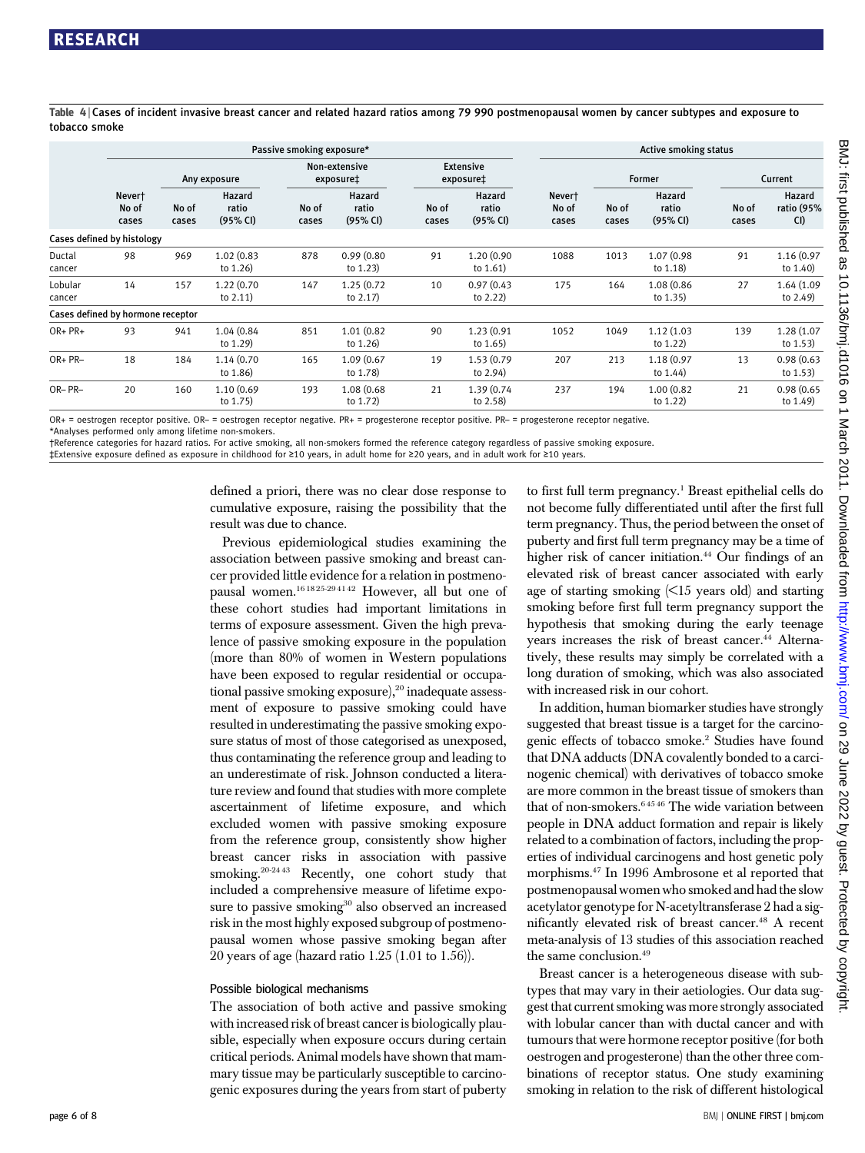Table 4 <sup>|</sup> Cases of incident invasive breast cancer and related hazard ratios among 79 990 postmenopausal women by cancer subtypes and exposure to tobacco smoke

|                   | Passive smoking exposure*         |                |                             |                            |                             |                               |                             | <b>Active smoking status</b> |                |                             |                |                                    |  |
|-------------------|-----------------------------------|----------------|-----------------------------|----------------------------|-----------------------------|-------------------------------|-----------------------------|------------------------------|----------------|-----------------------------|----------------|------------------------------------|--|
|                   |                                   | Any exposure   |                             | Non-extensive<br>exposure‡ |                             | <b>Extensive</b><br>exposure‡ |                             |                              | Former         |                             | Current        |                                    |  |
|                   | Never†<br>No of<br>cases          | No of<br>cases | Hazard<br>ratio<br>(95% CI) | No of<br>cases             | Hazard<br>ratio<br>(95% CI) | No of<br>cases                | Hazard<br>ratio<br>(95% CI) | Never†<br>No of<br>cases     | No of<br>cases | Hazard<br>ratio<br>(95% CI) | No of<br>cases | <b>Hazard</b><br>ratio (95%<br>CI) |  |
|                   | Cases defined by histology        |                |                             |                            |                             |                               |                             |                              |                |                             |                |                                    |  |
| Ductal<br>cancer  | 98                                | 969            | 1.02 (0.83<br>to 1.26)      | 878                        | 0.99(0.80)<br>to $1.23$     | 91                            | 1.20 (0.90<br>to $1.61$     | 1088                         | 1013           | 1.07 (0.98)<br>to 1.18)     | 91             | 1.16 (0.97<br>to 1.40)             |  |
| Lobular<br>cancer | 14                                | 157            | 1.22 (0.70<br>to $2.11$ )   | 147                        | 1.25 (0.72<br>to $2.17$ )   | 10                            | 0.97(0.43)<br>to $2.22$ )   | 175                          | 164            | 1.08 (0.86<br>to 1.35)      | 27             | 1.64 (1.09<br>to 2.49)             |  |
|                   | Cases defined by hormone receptor |                |                             |                            |                             |                               |                             |                              |                |                             |                |                                    |  |
| $OR + PR +$       | 93                                | 941            | 1.04 (0.84)<br>to 1.29)     | 851                        | 1.01 (0.82<br>to 1.26)      | 90                            | 1.23 (0.91<br>to $1.65$ )   | 1052                         | 1049           | 1.12 (1.03<br>to $1.22$ )   | 139            | 1.28 (1.07<br>to 1.53)             |  |
| OR+ PR-           | 18                                | 184            | 1.14 (0.70<br>to 1.86)      | 165                        | 1.09 (0.67<br>to 1.78)      | 19                            | 1.53 (0.79<br>to 2.94)      | 207                          | 213            | 1.18 (0.97<br>to 1.44)      | 13             | 0.98(0.63)<br>to $1.53$ )          |  |
| OR-PR-            | 20                                | 160            | 1.10 (0.69<br>to 1.75)      | 193                        | 1.08 (0.68)<br>to 1.72)     | 21                            | 1.39 (0.74<br>to 2.58)      | 237                          | 194            | 1.00 (0.82<br>to $1.22$     | 21             | 0.98(0.65)<br>to 1.49)             |  |

OR+ = oestrogen receptor positive. OR– = oestrogen receptor negative. PR+ = progesterone receptor positive. PR– = progesterone receptor negative. \*Analyses performed only among lifetime non-smokers.

†Reference categories for hazard ratios. For active smoking, all non-smokers formed the reference category regardless of passive smoking exposure.

‡Extensive exposure defined as exposure in childhood for ≥10 years, in adult home for ≥20 years, and in adult work for ≥10 years.

defined a priori, there was no clear dose response to cumulative exposure, raising the possibility that the result was due to chance.

Previous epidemiological studies examining the association between passive smoking and breast cancer provided little evidence for a relation in postmenopausal women.16 18 25-29 41 42 However, all but one of these cohort studies had important limitations in terms of exposure assessment. Given the high prevalence of passive smoking exposure in the population (more than 80% of women in Western populations have been exposed to regular residential or occupational passive smoking exposure), $20$  inadequate assessment of exposure to passive smoking could have resulted in underestimating the passive smoking exposure status of most of those categorised as unexposed, thus contaminating the reference group and leading to an underestimate of risk. Johnson conducted a literature review and found that studies with more complete ascertainment of lifetime exposure, and which excluded women with passive smoking exposure from the reference group, consistently show higher breast cancer risks in association with passive smoking.<sup>20-2443</sup> Recently, one cohort study that included a comprehensive measure of lifetime exposure to passive smoking<sup>30</sup> also observed an increased risk in the most highly exposed subgroup of postmenopausal women whose passive smoking began after 20 years of age (hazard ratio 1.25 (1.01 to 1.56)).

#### Possible biological mechanisms

The association of both active and passive smoking with increased risk of breast cancer is biologically plausible, especially when exposure occurs during certain critical periods. Animal models have shown that mammary tissue may be particularly susceptible to carcinogenic exposures during the years from start of puberty

to first full term pregnancy.<sup>1</sup> Breast epithelial cells do not become fully differentiated until after the first full term pregnancy. Thus, the period between the onset of puberty and first full term pregnancy may be a time of higher risk of cancer initiation.<sup>44</sup> Our findings of an elevated risk of breast cancer associated with early age of starting smoking  $\langle$  <15 years old) and starting smoking before first full term pregnancy support the hypothesis that smoking during the early teenage years increases the risk of breast cancer.<sup>44</sup> Alternatively, these results may simply be correlated with a long duration of smoking, which was also associated with increased risk in our cohort.

In addition, human biomarker studies have strongly suggested that breast tissue is a target for the carcinogenic effects of tobacco smoke.2 Studies have found that DNA adducts (DNA covalently bonded to a carcinogenic chemical) with derivatives of tobacco smoke are more common in the breast tissue of smokers than that of non-smokers. $64546$  The wide variation between people in DNA adduct formation and repair is likely related to a combination of factors, including the properties of individual carcinogens and host genetic poly morphisms.47 In 1996 Ambrosone et al reported that postmenopausal women who smoked and had the slow acetylator genotype for N-acetyltransferase 2 had a significantly elevated risk of breast cancer.<sup>48</sup> A recent meta-analysis of 13 studies of this association reached the same conclusion.<sup>49</sup>

Breast cancer is a heterogeneous disease with subtypes that may vary in their aetiologies. Our data suggest that current smoking was more strongly associated with lobular cancer than with ductal cancer and with tumours that were hormone receptor positive (for both oestrogen and progesterone) than the other three combinations of receptor status. One study examining smoking in relation to the risk of different histological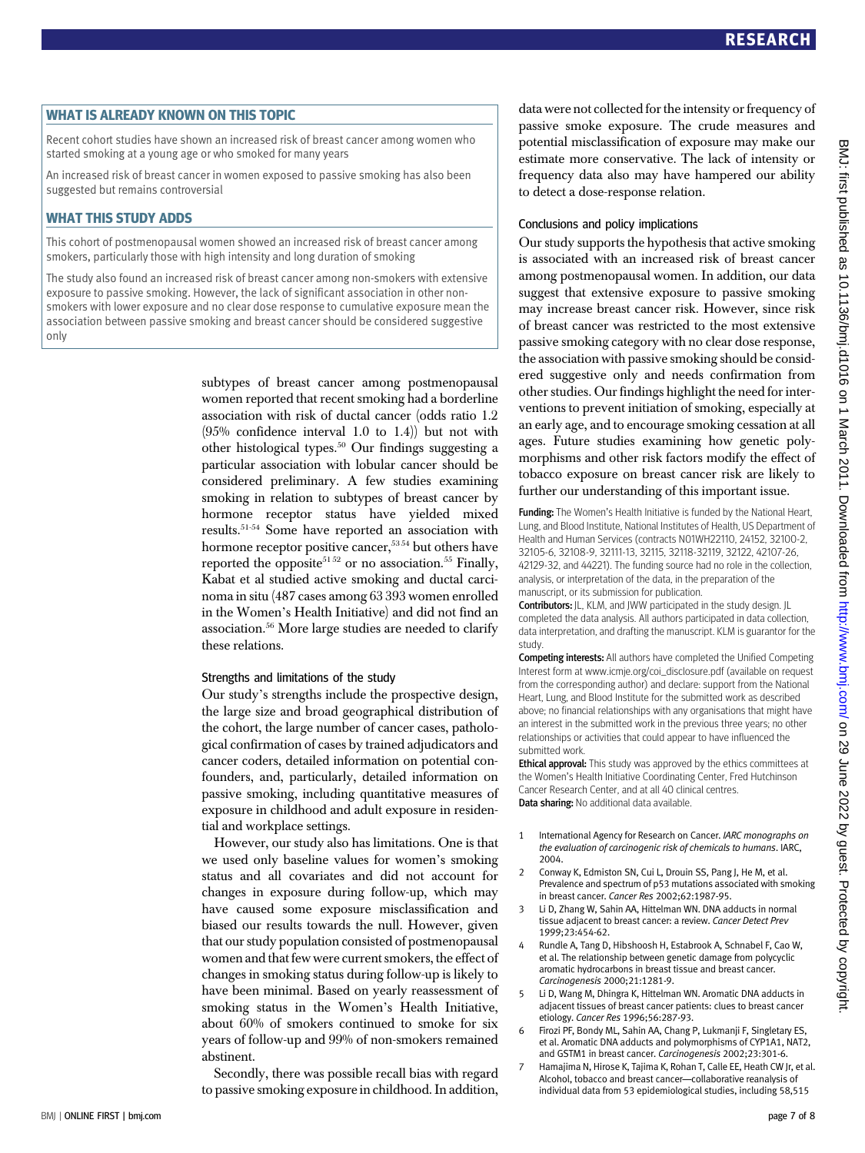#### WHAT IS ALREADY KNOWN ON THIS TOPIC

Recent cohort studies have shown an increased risk of breast cancer among women who started smoking at a young age or who smoked for many years

An increased risk of breast cancer in women exposed to passive smoking has also been suggested but remains controversial

#### WHAT THIS STUDY ADDS

This cohort of postmenopausal women showed an increased risk of breast cancer among smokers, particularly those with high intensity and long duration of smoking

The study also found an increased risk of breast cancer among non-smokers with extensive exposure to passive smoking. However, the lack of significant association in other nonsmokers with lower exposure and no clear dose response to cumulative exposure mean the association between passive smoking and breast cancer should be considered suggestive only

> subtypes of breast cancer among postmenopausal women reported that recent smoking had a borderline association with risk of ductal cancer (odds ratio 1.2 (95% confidence interval 1.0 to 1.4)) but not with other histological types.50 Our findings suggesting a particular association with lobular cancer should be considered preliminary. A few studies examining smoking in relation to subtypes of breast cancer by hormone receptor status have yielded mixed results.51-54 Some have reported an association with hormone receptor positive cancer,<sup>5354</sup> but others have reported the opposite<sup>51,52</sup> or no association.<sup>55</sup> Finally, Kabat et al studied active smoking and ductal carcinoma in situ (487 cases among 63 393 women enrolled in the Women's Health Initiative) and did not find an association.56 More large studies are needed to clarify these relations.

#### Strengths and limitations of the study

Our study's strengths include the prospective design, the large size and broad geographical distribution of the cohort, the large number of cancer cases, pathological confirmation of cases by trained adjudicators and cancer coders, detailed information on potential confounders, and, particularly, detailed information on passive smoking, including quantitative measures of exposure in childhood and adult exposure in residential and workplace settings.

However, our study also has limitations. One is that we used only baseline values for women's smoking status and all covariates and did not account for changes in exposure during follow-up, which may have caused some exposure misclassification and biased our results towards the null. However, given that our study population consisted of postmenopausal women and that few were current smokers, the effect of changes in smoking status during follow-up is likely to have been minimal. Based on yearly reassessment of smoking status in the Women's Health Initiative, about 60% of smokers continued to smoke for six years of follow-up and 99% of non-smokers remained abstinent.

Secondly, there was possible recall bias with regard to passive smoking exposure in childhood. In addition, data were not collected for the intensity or frequency of passive smoke exposure. The crude measures and potential misclassification of exposure may make our estimate more conservative. The lack of intensity or frequency data also may have hampered our ability to detect a dose-response relation.

#### Conclusions and policy implications

Our study supports the hypothesis that active smoking is associated with an increased risk of breast cancer among postmenopausal women. In addition, our data suggest that extensive exposure to passive smoking may increase breast cancer risk. However, since risk of breast cancer was restricted to the most extensive passive smoking category with no clear dose response, the association with passive smoking should be considered suggestive only and needs confirmation from other studies. Our findings highlight the need for interventions to prevent initiation of smoking, especially at an early age, and to encourage smoking cessation at all ages. Future studies examining how genetic polymorphisms and other risk factors modify the effect of tobacco exposure on breast cancer risk are likely to further our understanding of this important issue.

**Funding:** The Women's Health Initiative is funded by the National Heart, Lung, and Blood Institute, National Institutes of Health, US Department of Health and Human Services (contracts N01WH22110, 24152, 32100-2, 32105-6, 32108-9, 32111-13, 32115, 32118-32119, 32122, 42107-26, 42129-32, and 44221). The funding source had no role in the collection, analysis, or interpretation of the data, in the preparation of the manuscript, or its submission for publication.

Contributors: JL, KLM, and JWW participated in the study design. JL completed the data analysis. All authors participated in data collection, data interpretation, and drafting the manuscript. KLM is guarantor for the study.

Competing interests: All authors have completed the Unified Competing Interest form at www.icmje.org/coi\_disclosure.pdf (available on request from the corresponding author) and declare: support from the National Heart, Lung, and Blood Institute for the submitted work as described above; no financial relationships with any organisations that might have an interest in the submitted work in the previous three years; no other relationships or activities that could appear to have influenced the submitted work.

**Ethical approval:** This study was approved by the ethics committees at the Women's Health Initiative Coordinating Center, Fred Hutchinson Cancer Research Center, and at all 40 clinical centres. Data sharing: No additional data available.

- 1 International Agency for Research on Cancer. IARC monographs on the evaluation of carcinogenic risk of chemicals to humans. IARC, 2004.
- 2 Conway K, Edmiston SN, Cui L, Drouin SS, Pang J, He M, et al. Prevalence and spectrum of p53 mutations associated with smoking in breast cancer. Cancer Res 2002;62:1987-95.
- 3 Li D, Zhang W, Sahin AA, Hittelman WN. DNA adducts in normal tissue adjacent to breast cancer: a review. Cancer Detect Prev 1999;23:454-62.
- 4 Rundle A, Tang D, Hibshoosh H, Estabrook A, Schnabel F, Cao W, et al. The relationship between genetic damage from polycyclic aromatic hydrocarbons in breast tissue and breast cancer. Carcinogenesis 2000;21:1281-9.
- 5 Li D, Wang M, Dhingra K, Hittelman WN. Aromatic DNA adducts in adjacent tissues of breast cancer patients: clues to breast cancer etiology. Cancer Res 1996;56:287-93.
- 6 Firozi PF, Bondy ML, Sahin AA, Chang P, Lukmanji F, Singletary ES, et al. Aromatic DNA adducts and polymorphisms of CYP1A1, NAT2, and GSTM1 in breast cancer. Carcinogenesis 2002;23:301-6.
- Hamajima N, Hirose K, Tajima K, Rohan T, Calle EE, Heath CW Jr, et al. Alcohol, tobacco and breast cancer—collaborative reanalysis of individual data from 53 epidemiological studies, including 58,515